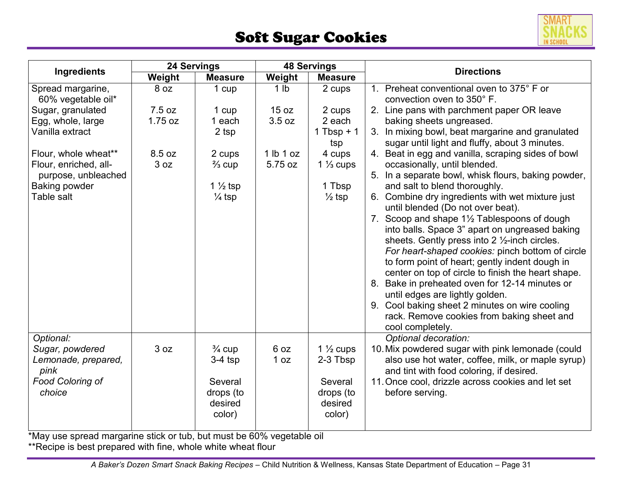## Soft Sugar Cookies



| Ingredients                                                           | 24 Servings |                    | <b>48 Servings</b> |                      | <b>Directions</b>                                                                                  |
|-----------------------------------------------------------------------|-------------|--------------------|--------------------|----------------------|----------------------------------------------------------------------------------------------------|
|                                                                       | Weight      | <b>Measure</b>     | Weight             | <b>Measure</b>       |                                                                                                    |
| Spread margarine,<br>60% vegetable oil*                               | 8 oz        | 1 cup              | 1 <sub>lb</sub>    | 2 cups               | 1. Preheat conventional oven to 375° F or<br>convection oven to 350° F.                            |
| Sugar, granulated                                                     | 7.5 oz      | 1 cup              | 15 oz              | 2 cups               | 2. Line pans with parchment paper OR leave                                                         |
| Egg, whole, large                                                     | 1.75 oz     | 1 each             | 3.5 oz             | 2 each               | baking sheets ungreased.                                                                           |
| Vanilla extract                                                       |             | 2 tsp              |                    | 1 Tbsp + $1$<br>tsp  | 3. In mixing bowl, beat margarine and granulated<br>sugar until light and fluffy, about 3 minutes. |
| Flour, whole wheat**                                                  | 8.5 oz      | 2 cups             | 1 lb 1 oz          | 4 cups               | 4. Beat in egg and vanilla, scraping sides of bowl                                                 |
| Flour, enriched, all-                                                 | 3 oz        | $\frac{2}{3}$ cup  | 5.75 oz            | 1 $\frac{1}{3}$ cups | occasionally, until blended.                                                                       |
| purpose, unbleached                                                   |             |                    |                    |                      | 5. In a separate bowl, whisk flours, baking powder,                                                |
| <b>Baking powder</b>                                                  |             | $1\frac{1}{2}$ tsp |                    | 1 Tbsp               | and salt to blend thoroughly.                                                                      |
| Table salt                                                            |             | $\frac{1}{4}$ tsp  |                    | $\frac{1}{2}$ tsp    | 6. Combine dry ingredients with wet mixture just<br>until blended (Do not over beat).              |
|                                                                       |             |                    |                    |                      | 7. Scoop and shape 1½ Tablespoons of dough                                                         |
|                                                                       |             |                    |                    |                      | into balls. Space 3" apart on ungreased baking                                                     |
|                                                                       |             |                    |                    |                      | sheets. Gently press into 2 1/2-inch circles.                                                      |
|                                                                       |             |                    |                    |                      | For heart-shaped cookies: pinch bottom of circle                                                   |
|                                                                       |             |                    |                    |                      | to form point of heart; gently indent dough in                                                     |
|                                                                       |             |                    |                    |                      | center on top of circle to finish the heart shape.                                                 |
|                                                                       |             |                    |                    |                      | 8. Bake in preheated oven for 12-14 minutes or                                                     |
|                                                                       |             |                    |                    |                      | until edges are lightly golden.                                                                    |
|                                                                       |             |                    |                    |                      | 9. Cool baking sheet 2 minutes on wire cooling<br>rack. Remove cookies from baking sheet and       |
|                                                                       |             |                    |                    |                      | cool completely.                                                                                   |
| Optional:                                                             |             |                    |                    |                      | Optional decoration:                                                                               |
| Sugar, powdered                                                       | 3 oz        | $\frac{3}{4}$ cup  | 6 oz               | 1 $\frac{1}{2}$ cups | 10. Mix powdered sugar with pink lemonade (could                                                   |
| Lemonade, prepared,                                                   |             | $3-4$ tsp          | 1 oz               | 2-3 Tbsp             | also use hot water, coffee, milk, or maple syrup)                                                  |
| pink                                                                  |             |                    |                    |                      | and tint with food coloring, if desired.                                                           |
| <b>Food Coloring of</b>                                               |             | Several            |                    | Several              | 11. Once cool, drizzle across cookies and let set                                                  |
| choice                                                                |             | drops (to          |                    | drops (to            | before serving.                                                                                    |
|                                                                       |             | desired            |                    | desired              |                                                                                                    |
|                                                                       |             | color)             |                    | color)               |                                                                                                    |
| *May use spread margarine stick or tub, but must be 60% vegetable oil |             |                    |                    |                      |                                                                                                    |

\*\*Recipe is best prepared with fine, whole white wheat flour